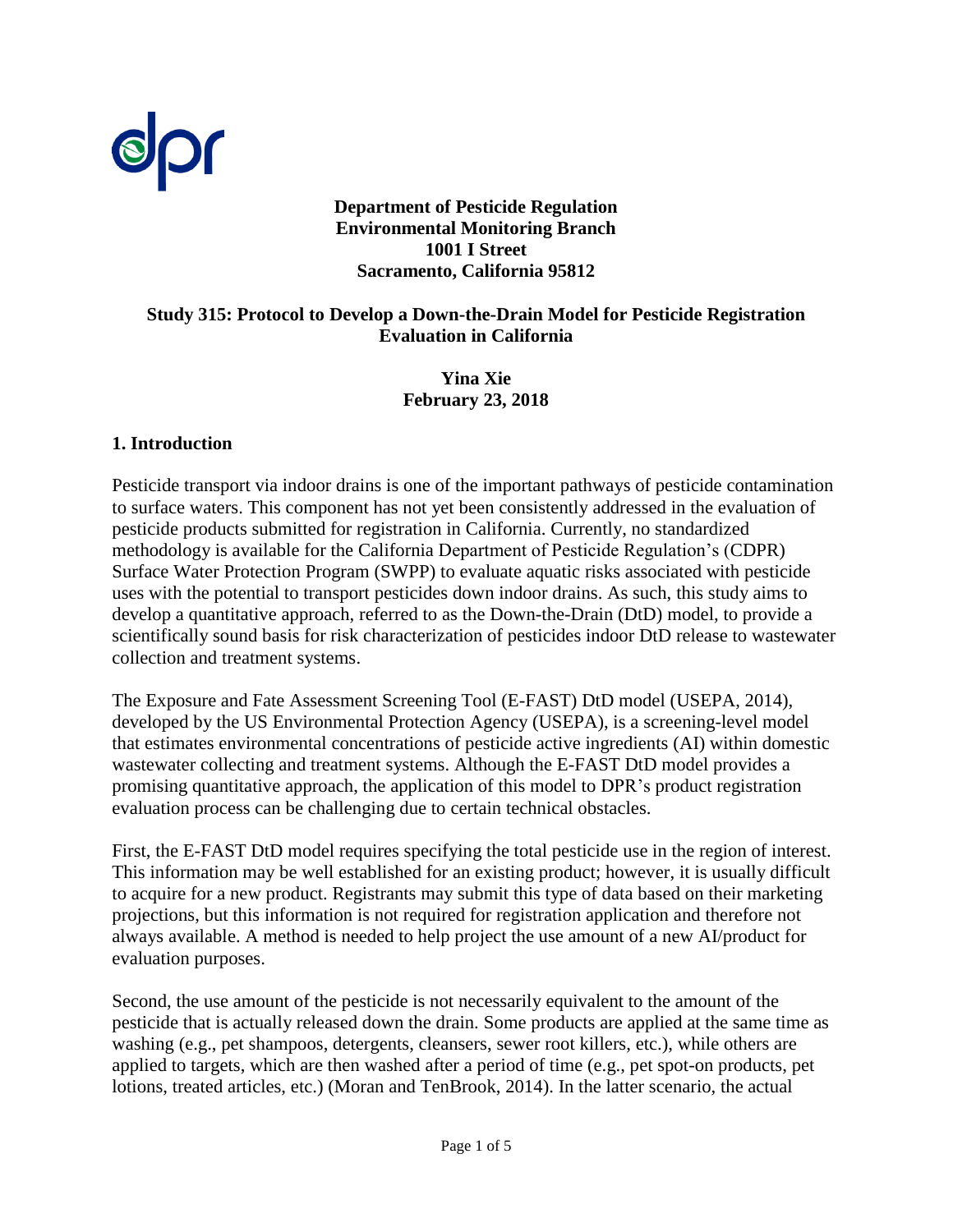

#### **Department of Pesticide Regulation Environmental Monitoring Branch 1001 I Street Sacramento, California 95812**

#### **Study 315: Protocol to Develop a Down-the-Drain Model for Pesticide Registration Evaluation in California**

**Yina Xie February 23, 2018** 

#### **1. Introduction**

Pesticide transport via indoor drains is one of the important pathways of pesticide contamination to surface waters. This component has not yet been consistently addressed in the evaluation of pesticide products submitted for registration in California. Currently, no standardized methodology is available for the California Department of Pesticide Regulation's (CDPR) Surface Water Protection Program (SWPP) to evaluate aquatic risks associated with pesticide uses with the potential to transport pesticides down indoor drains. As such, this study aims to develop a quantitative approach, referred to as the Down-the-Drain (DtD) model, to provide a scientifically sound basis for risk characterization of pesticides indoor DtD release to wastewater collection and treatment systems.

The Exposure and Fate Assessment Screening Tool (E-FAST) DtD model [\(USEPA, 2014\)](#page-4-0), developed by the US Environmental Protection Agency (USEPA), is a screening-level model that estimates environmental concentrations of pesticide active ingredients (AI) within domestic wastewater collecting and treatment systems. Although the E-FAST DtD model provides a promising quantitative approach, the application of this model to DPR's product registration evaluation process can be challenging due to certain technical obstacles.

First, the E-FAST DtD model requires specifying the total pesticide use in the region of interest. This information may be well established for an existing product; however, it is usually difficult to acquire for a new product. Registrants may submit this type of data based on their marketing projections, but this information is not required for registration application and therefore not always available. A method is needed to help project the use amount of a new AI/product for evaluation purposes.

Second, the use amount of the pesticide is not necessarily equivalent to the amount of the pesticide that is actually released down the drain. Some products are applied at the same time as washing (e.g., pet shampoos, detergents, cleansers, sewer root killers, etc.), while others are applied to targets, which are then washed after a period of time (e.g., pet spot-on products, pet lotions, treated articles, etc.) [\(Moran and TenBrook, 2014\)](#page-4-1). In the latter scenario, the actual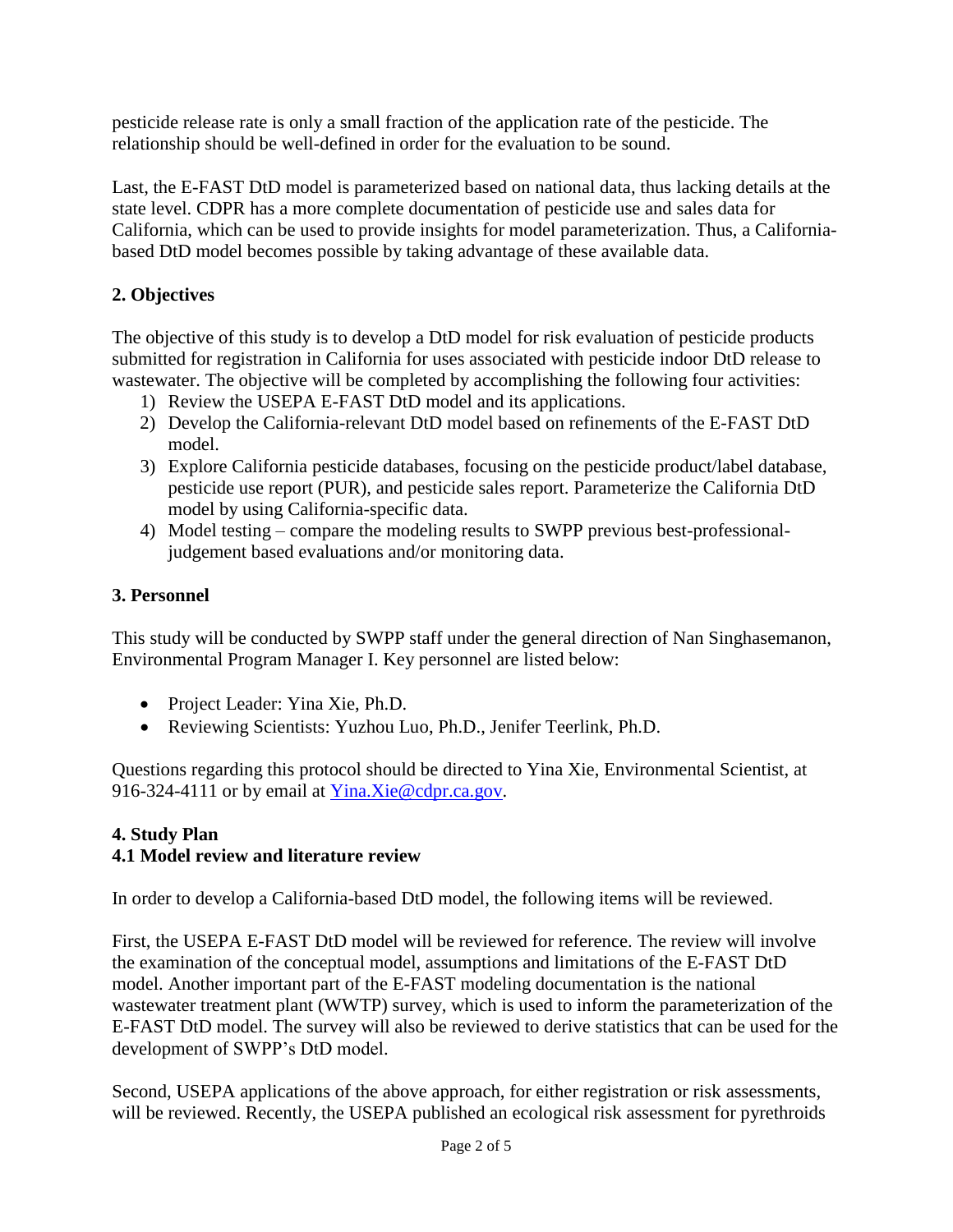pesticide release rate is only a small fraction of the application rate of the pesticide. The relationship should be well-defined in order for the evaluation to be sound.

Last, the E-FAST DtD model is parameterized based on national data, thus lacking details at the state level. CDPR has a more complete documentation of pesticide use and sales data for California, which can be used to provide insights for model parameterization. Thus, a Californiabased DtD model becomes possible by taking advantage of these available data.

# **2. Objectives**

The objective of this study is to develop a DtD model for risk evaluation of pesticide products submitted for registration in California for uses associated with pesticide indoor DtD release to wastewater. The objective will be completed by accomplishing the following four activities:

- 1) Review the USEPA E-FAST DtD model and its applications.
- 2) Develop the California-relevant DtD model based on refinements of the E-FAST DtD model.
- 3) Explore California pesticide databases, focusing on the pesticide product/label database, pesticide use report (PUR), and pesticide sales report. Parameterize the California DtD model by using California-specific data.
- 4) Model testing compare the modeling results to SWPP previous best-professionaljudgement based evaluations and/or monitoring data.

# **3. Personnel**

This study will be conducted by SWPP staff under the general direction of Nan Singhasemanon, Environmental Program Manager I. Key personnel are listed below:

- Project Leader: Yina Xie, Ph.D.
- Reviewing Scientists: Yuzhou Luo, Ph.D., Jenifer Teerlink, Ph.D.

Questions regarding this protocol should be directed to Yina Xie, Environmental Scientist, at 916-324-4111 or by email at [Yina.Xie@cdpr.ca.gov.](mailto:Yina.Xie@cdpr.ca.gov)

### **4. Study Plan 4.1 Model review and literature review**

In order to develop a California-based DtD model, the following items will be reviewed.

First, the USEPA E-FAST DtD model will be reviewed for reference. The review will involve the examination of the conceptual model, assumptions and limitations of the E-FAST DtD model. Another important part of the E-FAST modeling documentation is the national wastewater treatment plant (WWTP) survey, which is used to inform the parameterization of the E-FAST DtD model. The survey will also be reviewed to derive statistics that can be used for the development of SWPP's DtD model.

Second, USEPA applications of the above approach, for either registration or risk assessments, will be reviewed. Recently, the USEPA published an ecological risk assessment for pyrethroids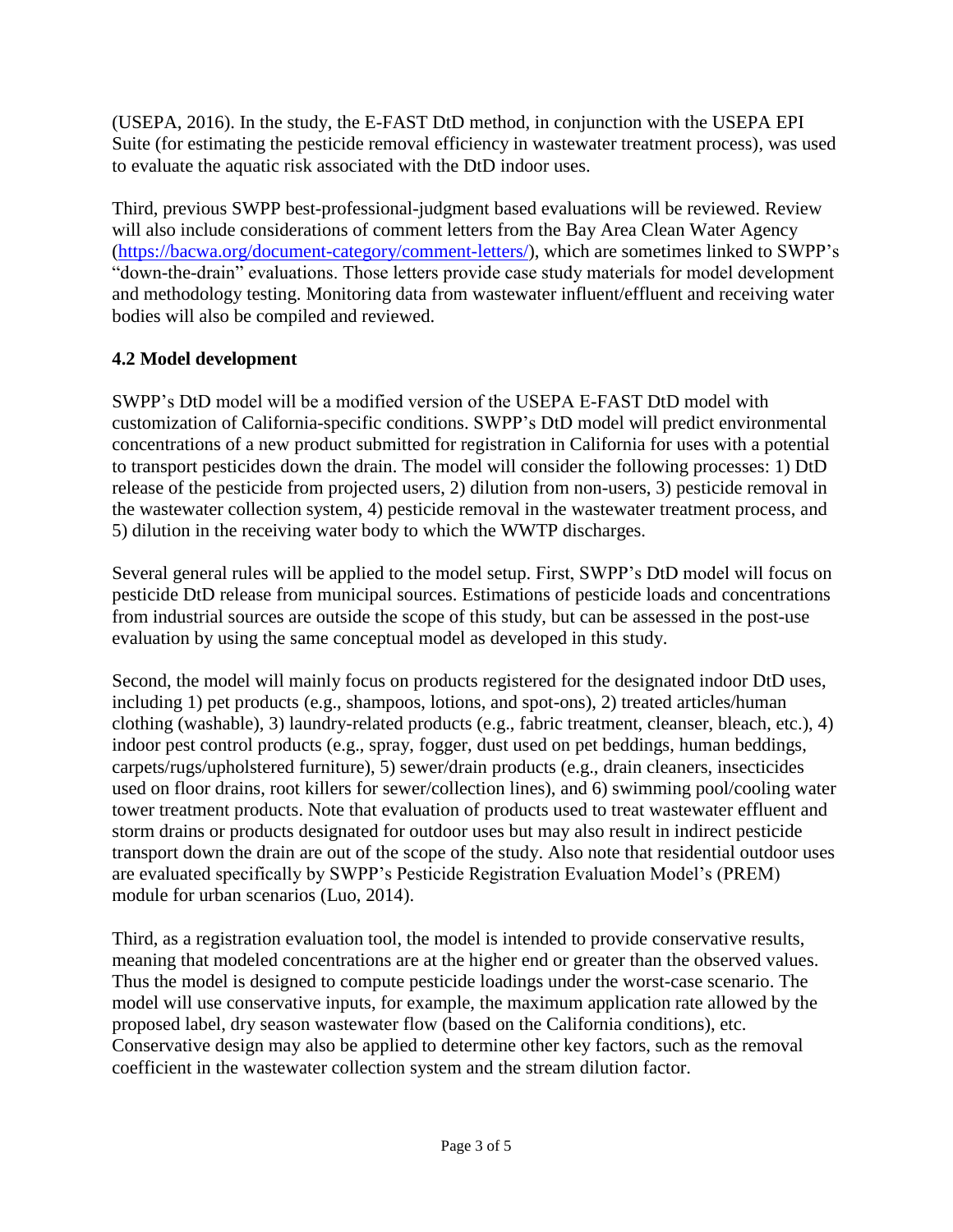[\(USEPA, 2016\)](#page-4-2). In the study, the E-FAST DtD method, in conjunction with the USEPA EPI Suite (for estimating the pesticide removal efficiency in wastewater treatment process), was used to evaluate the aquatic risk associated with the DtD indoor uses.

Third, previous SWPP best-professional-judgment based evaluations will be reviewed. Review will also include considerations of comment letters from the Bay Area Clean Water Agency [\(https://bacwa.org/document-category/comment-letters/\)](https://bacwa.org/document-category/comment-letters/), which are sometimes linked to SWPP's "down-the-drain" evaluations. Those letters provide case study materials for model development and methodology testing. Monitoring data from wastewater influent/effluent and receiving water bodies will also be compiled and reviewed.

## **4.2 Model development**

SWPP's DtD model will be a modified version of the USEPA E-FAST DtD model with customization of California-specific conditions. SWPP's DtD model will predict environmental concentrations of a new product submitted for registration in California for uses with a potential to transport pesticides down the drain. The model will consider the following processes: 1) DtD release of the pesticide from projected users, 2) dilution from non-users, 3) pesticide removal in the wastewater collection system, 4) pesticide removal in the wastewater treatment process, and 5) dilution in the receiving water body to which the WWTP discharges.

Several general rules will be applied to the model setup. First, SWPP's DtD model will focus on pesticide DtD release from municipal sources. Estimations of pesticide loads and concentrations from industrial sources are outside the scope of this study, but can be assessed in the post-use evaluation by using the same conceptual model as developed in this study.

Second, the model will mainly focus on products registered for the designated indoor DtD uses, including 1) pet products (e.g., shampoos, lotions, and spot-ons), 2) treated articles/human clothing (washable), 3) laundry-related products (e.g., fabric treatment, cleanser, bleach, etc.), 4) indoor pest control products (e.g., spray, fogger, dust used on pet beddings, human beddings, carpets/rugs/upholstered furniture), 5) sewer/drain products (e.g., drain cleaners, insecticides used on floor drains, root killers for sewer/collection lines), and 6) swimming pool/cooling water tower treatment products. Note that evaluation of products used to treat wastewater effluent and storm drains or products designated for outdoor uses but may also result in indirect pesticide transport down the drain are out of the scope of the study. Also note that residential outdoor uses are evaluated specifically by SWPP's Pesticide Registration Evaluation Model's (PREM) module for urban scenarios [\(Luo, 2014\)](#page-3-0).

Third, as a registration evaluation tool, the model is intended to provide conservative results, meaning that modeled concentrations are at the higher end or greater than the observed values. Thus the model is designed to compute pesticide loadings under the worst-case scenario. The model will use conservative inputs, for example, the maximum application rate allowed by the proposed label, dry season wastewater flow (based on the California conditions), etc. Conservative design may also be applied to determine other key factors, such as the removal coefficient in the wastewater collection system and the stream dilution factor.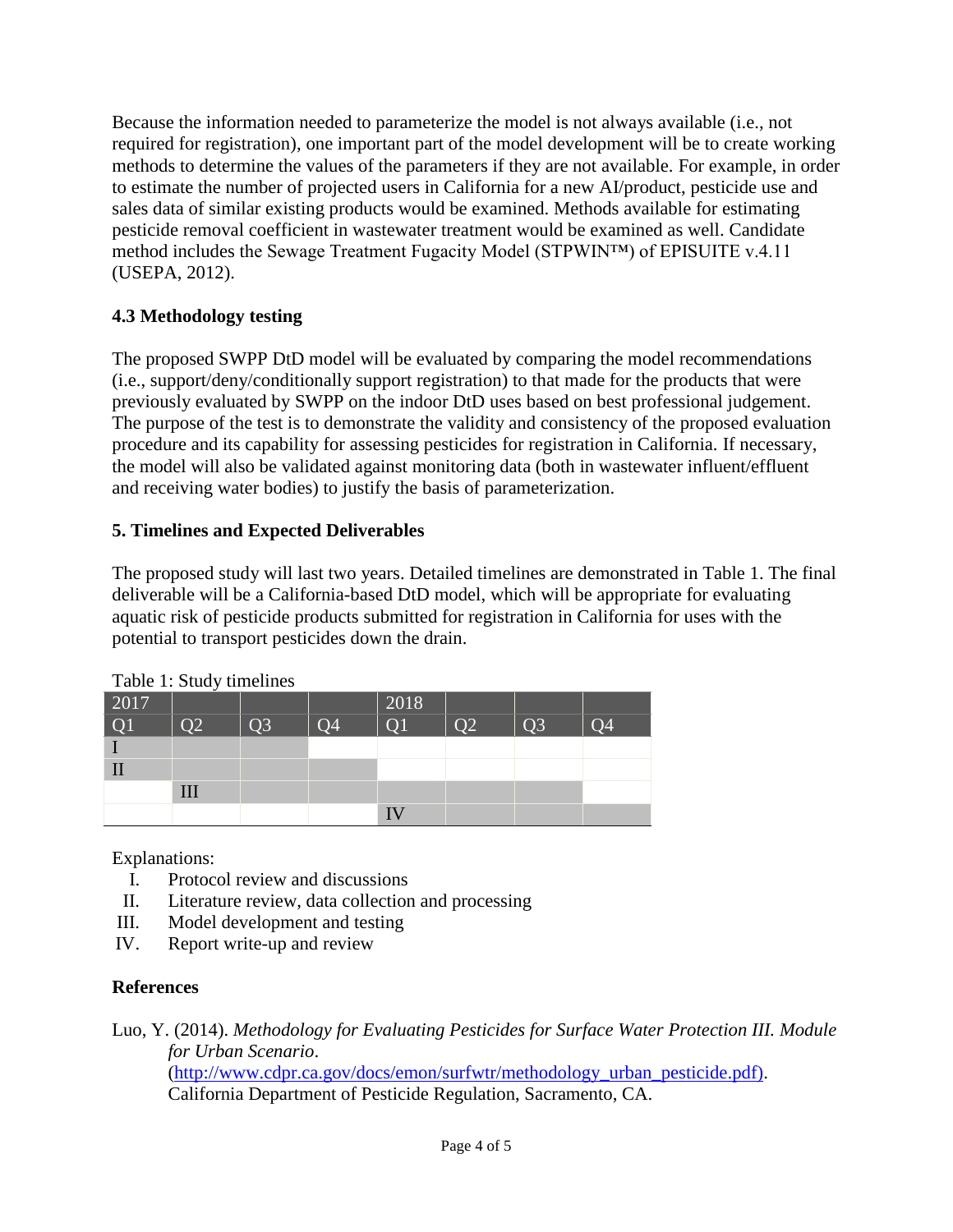Because the information needed to parameterize the model is not always available (i.e., not required for registration), one important part of the model development will be to create working methods to determine the values of the parameters if they are not available. For example, in order to estimate the number of projected users in California for a new AI/product, pesticide use and sales data of similar existing products would be examined. Methods available for estimating pesticide removal coefficient in wastewater treatment would be examined as well. Candidate method includes the Sewage Treatment Fugacity Model (STPWIN™) of EPISUITE v.4.11 [\(USEPA, 2012\)](#page-4-3).

## **4.3 Methodology testing**

The proposed SWPP DtD model will be evaluated by comparing the model recommendations (i.e., support/deny/conditionally support registration) to that made for the products that were previously evaluated by SWPP on the indoor DtD uses based on best professional judgement. The purpose of the test is to demonstrate the validity and consistency of the proposed evaluation procedure and its capability for assessing pesticides for registration in California. If necessary, the model will also be validated against monitoring data (both in wastewater influent/effluent and receiving water bodies) to justify the basis of parameterization.

### **5. Timelines and Expected Deliverables**

The proposed study will last two years. Detailed timelines are demonstrated in Table 1. The final deliverable will be a California-based DtD model, which will be appropriate for evaluating aquatic risk of pesticide products submitted for registration in California for uses with the potential to transport pesticides down the drain.

| 2017 | $1.0012 + 0.0002$ , $1.00001$ |           |                 | 2018            |                |                |    |
|------|-------------------------------|-----------|-----------------|-----------------|----------------|----------------|----|
| Q1   | O <sub>2</sub>                | <b>O3</b> | $\overline{O}4$ | $\overline{O1}$ | Q <sub>2</sub> | Q <sub>3</sub> | O4 |
|      |                               |           |                 |                 |                |                |    |
|      |                               |           |                 |                 |                |                |    |
|      | III                           |           |                 |                 |                |                |    |
|      |                               |           |                 |                 |                |                |    |

Table 1: Study timelines

Explanations:

- I. Protocol review and discussions
- II. Literature review, data collection and processing
- III. Model development and testing
- IV. Report write-up and review

### **References**

<span id="page-3-0"></span>Luo, Y. (2014). *Methodology for Evaluating Pesticides for Surface Water Protection III. Module for Urban Scenario*. [\(http://www.cdpr.ca.gov/docs/emon/surfwtr/methodology\\_urban\\_pesticide.pdf\).](http://www.cdpr.ca.gov/docs/emon/surfwtr/methodology_urban_pesticide.pdf) California Department of Pesticide Regulation, Sacramento, CA.